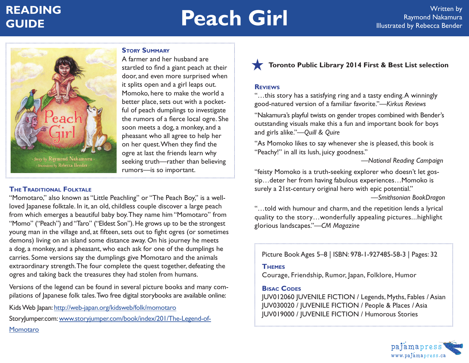# **READING**

# **READING**<br> **GUIDE Raymond Nakamura**<br> **GUIDE Raymond Nakamura**



# **Story Summary**

A farmer and her husband are startled to find a giant peach at their door, and even more surprised when it splits open and a girl leaps out. Momoko, here to make the world a better place, sets out with a pocketful of peach dumplings to investigate the rumors of a fierce local ogre. She soon meets a dog, a monkey, and a pheasant who all agree to help her on her quest. When they find the ogre at last the friends learn why seeking truth—rather than believing rumors—is so important.

# **TheTraditional Folktale**

"Momotaro," also known as "Little Peachling" or "The Peach Boy," is a wellloved Japanese folktale. In it, an old, childless couple discover a large peach from which emerges a beautiful baby boy. They name him "Momotaro" from "Momo" ("Peach") and "Taro" ("Eldest Son"). He grows up to be the strongest young man in the village and, at fifteen, sets out to fight ogres (or sometimes demons) living on an island some distance away. On his journey he meets a dog, a monkey, and a pheasant, who each ask for one of the dumplings he carries. Some versions say the dumplings give Momotaro and the animals extraordinary strength. The four complete the quest together, defeating the ogres and taking back the treasures they had stolen from humans.

Versions of the legend can be found in several picture books and many compilations of Japanese folk tales. Two free digital storybooks are available online:

Kids Web Japan: http://web-japan.org/kidsweb/folk/momotaro

StoryJumper.com: www.storyjumper.com/book/index/201/The-Legend-of-

### **Momotaro**

# **Toronto Public Library 2014 First & Best List selection**

### **Reviews**

"…this story has a satisfying ring and a tasty ending. A winningly good-natured version of a familiar favorite."*—Kirkus Reviews*

"Nakamura's playful twists on gender tropes combined with Bender's outstanding visuals make this a fun and important book for boys and girls alike."*—Quill & Quire*

"As Momoko likes to say whenever she is pleased, this book is "Peachy!" in all its lush, juicy goodness."

*—National Reading Campaign*

"feisty Momoko is a truth-seeking explorer who doesn't let gossip…deter her from having fabulous experiences…Momoko is surely a 21st-century original hero with epic potential."

*—Smithsonian BookDragon*

"…told with humour and charm, and the repetition lends a lyrical quality to the story…wonderfully appealing pictures...highlight glorious landscapes."*—CM Magazine*

Picture Book Ages 5–8 | ISBN: 978-1-927485-58-3 | Pages: 32

### **Themes**

Courage, Friendship, Rumor, Japan, Folklore, Humor

## **Bisac Codes**

JUV012060 JUVENILE FICTION / Legends, Myths, Fables / Asian JUV030020 / JUVENILE FICTION / People & Places / Asia JUV019000 / JUVENILE FICTION / Humorous Stories